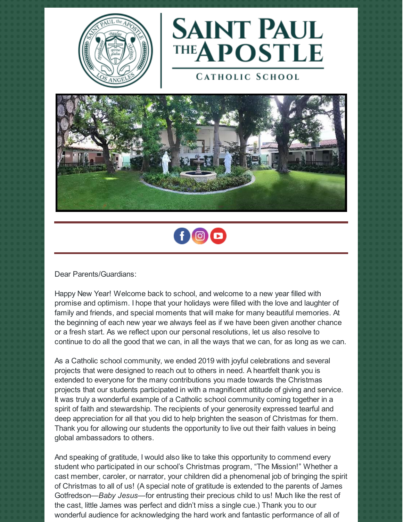



**CATHOLIC SCHOOL** 





Dear Parents/Guardians:

Happy New Year! Welcome back to school, and welcome to a new year filled with promise and optimism. I hope that your holidays were filled with the love and laughter of family and friends, and special moments that will make for many beautiful memories. At the beginning of each new year we always feel as if we have been given another chance or a fresh start. As we reflect upon our personal resolutions, let us also resolve to continue to do all the good that we can, in all the ways that we can, for as long as we can.

As a Catholic school community, we ended 2019 with joyful celebrations and several projects that were designed to reach out to others in need. A heartfelt thank you is extended to everyone for the many contributions you made towards the Christmas projects that our students participated in with a magnificent attitude of giving and service. It was truly a wonderful example of a Catholic school community coming together in a spirit of faith and stewardship. The recipients of your generosity expressed tearful and deep appreciation for all that you did to help brighten the season of Christmas for them. Thank you for allowing our students the opportunity to live out their faith values in being global ambassadors to others.

And speaking of gratitude, I would also like to take this opportunity to commend every student who participated in our school's Christmas program, "The Mission!" Whether a cast member, caroler, or narrator, your children did a phenomenal job of bringing the spirit of Christmas to all of us! (A special note of gratitude is extended to the parents of James Gotfredson—*Baby Jesus*—for entrusting their precious child to us! Much like the rest of the cast, little James was perfect and didn't miss a single cue.) Thank you to our wonderful audience for acknowledging the hard work and fantastic performance of all of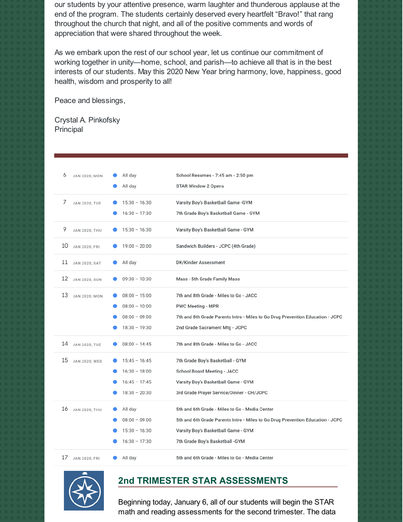our students by your attentive presence, warm laughter and thunderous applause at the end of the program. The students certainly deserved every heartfelt "Bravo!" that rang throughout the church that night, and all of the positive comments and words of appreciation that were shared throughout the week.

As we embark upon the rest of our school year, let us continue our commitment of working together in unity—home, school, and parish—to achieve all that is in the best interests of our students. May this 2020 New Year bring harmony, love, happiness, good health, wisdom and prosperity to all!

Peace and blessings,

Crystal A. Pinkofsky Principal

| 6<br>JAN 2020, MON         | All day<br>All day                                                       | School Resumes - 7:45 am - 2:50 pm<br><b>STAR Window 2 Opens</b>                                                                                                                                           |
|----------------------------|--------------------------------------------------------------------------|------------------------------------------------------------------------------------------------------------------------------------------------------------------------------------------------------------|
| 7<br><b>JAN 2020, TUE</b>  | $15:30 - 16:30$<br>$16:30 - 17:30$                                       | Varsity Boy's Basketball Game -GYM<br>7th Grade Boy's Basketball Game - GYM                                                                                                                                |
| 9<br>JAN 2020, THU         | $15:30 - 16:30$                                                          | Varsity Boy's Basketball Game - GYM                                                                                                                                                                        |
| 10<br><b>JAN 2020, FRI</b> | $19:00 - 20:00$                                                          | Sandwich Builders - JCPC (4th Grade)                                                                                                                                                                       |
| 11<br>JAN 2020, SAT        | All day                                                                  | <b>DK/Kinder Assessment</b>                                                                                                                                                                                |
| 12<br>JAN 2020, SUN        | $09:30 - 10:30$                                                          | Mass - 5th Grade Family Mass                                                                                                                                                                               |
| 13<br>JAN 2020, MON        | $08:00 - 15:00$<br>$08:00 - 10:00$<br>$08:00 - 09:00$<br>$18:30 - 19:30$ | 7th and 8th Grade - Miles to Go - JACC<br><b>PWC Meeting - MPR</b><br>7th and 8th Grade Parents Intro - Miles to Go Drug Prevention Education - JCPC<br>2nd Grade Sacrament Mtg - JCPC                     |
| 14<br>JAN 2020, TUE        | $08:00 - 14:45$                                                          | 7th and 8th Grade - Miles to Go - JACC                                                                                                                                                                     |
| 15<br>JAN 2020, WED        | $15:45 - 16:45$<br>$16:30 - 18:00$<br>$16:45 - 17:45$<br>$18:30 - 20:30$ | 7th Grade Boy's Basketball - GYM<br><b>School Board Meeting - JACC</b><br>Varsity Boy's Basketball Game - GYM<br>3rd Grade Prayer Service/Dinner - CH/JCPC                                                 |
| 16 JAN 2020, THU           | All day<br>$08:00 - 09:00$<br>$15:30 - 16:30$<br>$16:30 - 17:30$         | 5th and 6th Grade - Miles to Go - Media Center<br>5th and 6th Grade Parents Intro - Miles to Go Drug Prevention Education - JCPC<br>Varsity Boy's Basketball Game - GYM<br>7th Grade Boy's Basketball -GYM |
| 17<br>JAN 2020, FRI        | All day                                                                  | 5th and 6th Grade - Miles to Go - Media Center                                                                                                                                                             |



#### **2nd TRIMESTER STAR ASSESSMENTS**

Beginning today, January 6, all of our students will begin the STAR math and reading assessments for the second trimester. The data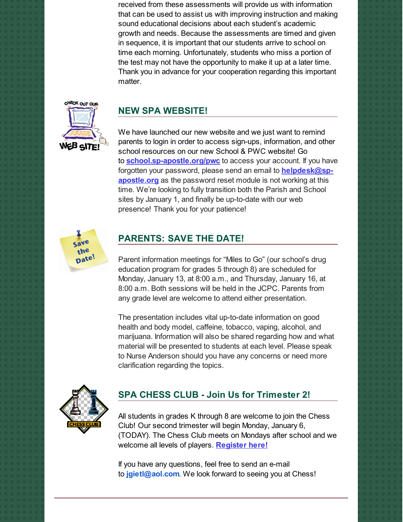received from these assessments will provide us with information that can be used to assist us with improving instruction and making sound educational decisions about each student's academic growth and needs. Because the assessments are timed and given in sequence, it is important that our students arrive to school on time each morning. Unfortunately, students who miss a portion of the test may not have the opportunity to make it up at a later time. Thank you in advance for your cooperation regarding this important matter.

# CHECK ONT OUR

#### **NEW SPA WEBSITE!**

We have launched our new website and we just want to remind parents to login in order to access sign-ups, information, and other school resources on our new School & PWC website! Go to **[school.sp-apostle.org/pwc](http://school.sp-apostle.org/pwc)** to access your account. If you have forgotten your password, please send an email to **[helpdesk@sp](mailto:helpdesk@sp-apostle.org)apostle.org** as the password reset module is not working at this time. We're looking to fully transition both the Parish and School sites by January 1, and finally be up-to-date with our web presence! Thank you for your patience!



#### **PARENTS: SAVE THE DATE!**

Parent information meetings for "Miles to Go" (our school's drug education program for grades 5 through 8) are scheduled for Monday, January 13, at 8:00 a.m., and Thursday, January 16, at 8:00 a.m. Both sessions will be held in the JCPC. Parents from any grade level are welcome to attend either presentation.

The presentation includes vital up-to-date information on good health and body model, caffeine, tobacco, vaping, alcohol, and marijuana. Information will also be shared regarding how and what material will be presented to students at each level. Please speak to Nurse Anderson should you have any concerns or need more clarification regarding the topics.



### **SPA CHESS CLUB - Join Us for Trimester 2!**

All students in grades K through 8 are welcome to join the Chess Club! Our second trimester will begin Monday, January 6, (TODAY). The Chess Club meets on Mondays after school and we welcome all levels of players. **[Register](http://www.prestoregister.com/cgi-bin/order.pl?ref=spapostle_school&fm=2) here!**

If you have any questions, feel free to send an e-mail to **[jgietl@aol.com](mailto:jgietl@aol.com)**. We look forward to seeing you at Chess!